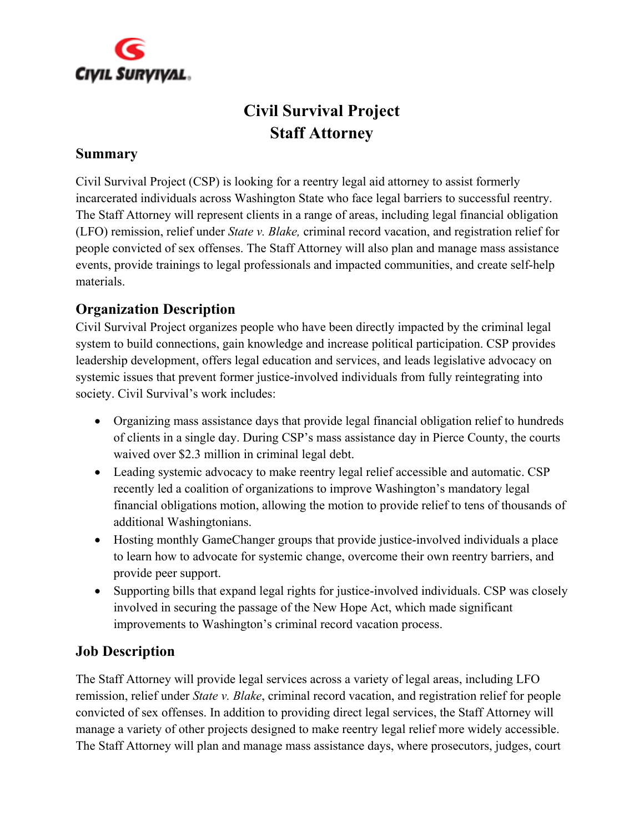

# **Civil Survival Project Staff Attorney**

#### **Summary**

Civil Survival Project (CSP) is looking for a reentry legal aid attorney to assist formerly incarcerated individuals across Washington State who face legal barriers to successful reentry. The Staff Attorney will represent clients in a range of areas, including legal financial obligation (LFO) remission, relief under *State v. Blake,* criminal record vacation, and registration relief for people convicted of sex offenses. The Staff Attorney will also plan and manage mass assistance events, provide trainings to legal professionals and impacted communities, and create self-help materials.

#### **Organization Description**

Civil Survival Project organizes people who have been directly impacted by the criminal legal system to build connections, gain knowledge and increase political participation. CSP provides leadership development, offers legal education and services, and leads legislative advocacy on systemic issues that prevent former justice-involved individuals from fully reintegrating into society. Civil Survival's work includes:

- Organizing mass assistance days that provide legal financial obligation relief to hundreds of clients in a single day. During CSP's mass assistance day in Pierce County, the courts waived over \$2.3 million in criminal legal debt.
- Leading systemic advocacy to make reentry legal relief accessible and automatic. CSP recently led a coalition of organizations to improve Washington's mandatory legal financial obligations motion, allowing the motion to provide relief to tens of thousands of additional Washingtonians.
- Hosting monthly GameChanger groups that provide justice-involved individuals a place to learn how to advocate for systemic change, overcome their own reentry barriers, and provide peer support.
- Supporting bills that expand legal rights for justice-involved individuals. CSP was closely involved in securing the passage of the New Hope Act, which made significant improvements to Washington's criminal record vacation process.

#### **Job Description**

The Staff Attorney will provide legal services across a variety of legal areas, including LFO remission, relief under *State v. Blake*, criminal record vacation, and registration relief for people convicted of sex offenses. In addition to providing direct legal services, the Staff Attorney will manage a variety of other projects designed to make reentry legal relief more widely accessible. The Staff Attorney will plan and manage mass assistance days, where prosecutors, judges, court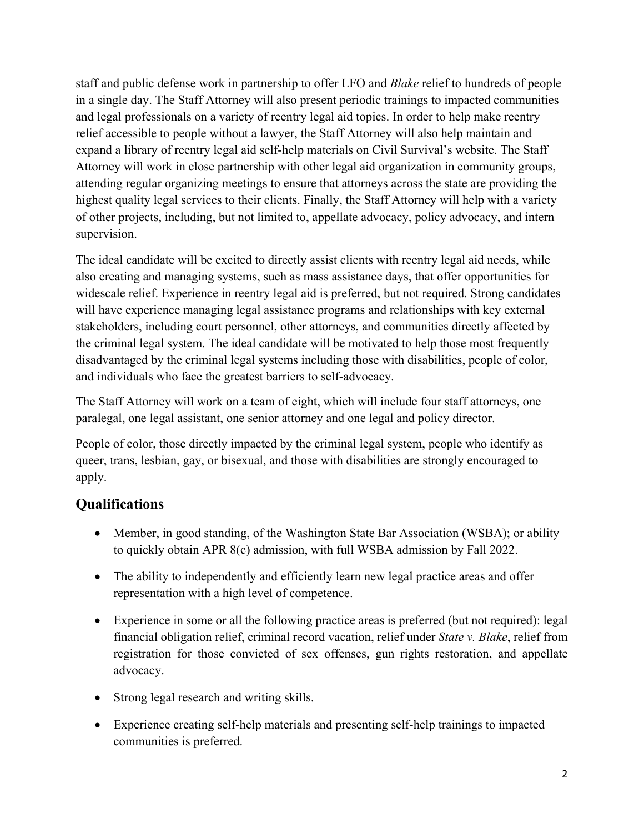staff and public defense work in partnership to offer LFO and *Blake* relief to hundreds of people in a single day. The Staff Attorney will also present periodic trainings to impacted communities and legal professionals on a variety of reentry legal aid topics. In order to help make reentry relief accessible to people without a lawyer, the Staff Attorney will also help maintain and expand a library of reentry legal aid self-help materials on Civil Survival's website. The Staff Attorney will work in close partnership with other legal aid organization in community groups, attending regular organizing meetings to ensure that attorneys across the state are providing the highest quality legal services to their clients. Finally, the Staff Attorney will help with a variety of other projects, including, but not limited to, appellate advocacy, policy advocacy, and intern supervision.

The ideal candidate will be excited to directly assist clients with reentry legal aid needs, while also creating and managing systems, such as mass assistance days, that offer opportunities for widescale relief. Experience in reentry legal aid is preferred, but not required. Strong candidates will have experience managing legal assistance programs and relationships with key external stakeholders, including court personnel, other attorneys, and communities directly affected by the criminal legal system. The ideal candidate will be motivated to help those most frequently disadvantaged by the criminal legal systems including those with disabilities, people of color, and individuals who face the greatest barriers to self-advocacy.

The Staff Attorney will work on a team of eight, which will include four staff attorneys, one paralegal, one legal assistant, one senior attorney and one legal and policy director.

People of color, those directly impacted by the criminal legal system, people who identify as queer, trans, lesbian, gay, or bisexual, and those with disabilities are strongly encouraged to apply.

#### **Qualifications**

- Member, in good standing, of the Washington State Bar Association (WSBA); or ability to quickly obtain APR 8(c) admission, with full WSBA admission by Fall 2022.
- The ability to independently and efficiently learn new legal practice areas and offer representation with a high level of competence.
- Experience in some or all the following practice areas is preferred (but not required): legal financial obligation relief, criminal record vacation, relief under *State v. Blake*, relief from registration for those convicted of sex offenses, gun rights restoration, and appellate advocacy.
- Strong legal research and writing skills.
- Experience creating self-help materials and presenting self-help trainings to impacted communities is preferred.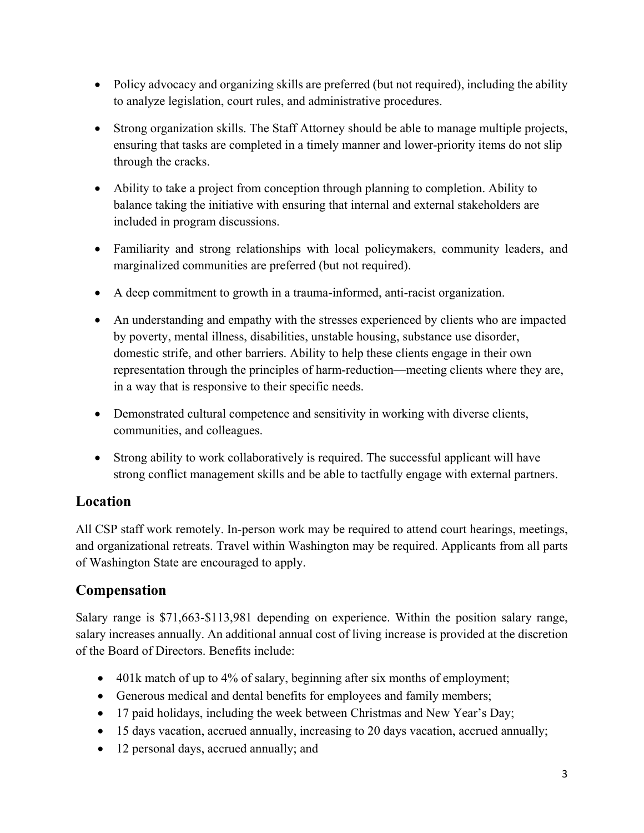- Policy advocacy and organizing skills are preferred (but not required), including the ability to analyze legislation, court rules, and administrative procedures.
- Strong organization skills. The Staff Attorney should be able to manage multiple projects, ensuring that tasks are completed in a timely manner and lower-priority items do not slip through the cracks.
- Ability to take a project from conception through planning to completion. Ability to balance taking the initiative with ensuring that internal and external stakeholders are included in program discussions.
- Familiarity and strong relationships with local policymakers, community leaders, and marginalized communities are preferred (but not required).
- A deep commitment to growth in a trauma-informed, anti-racist organization.
- An understanding and empathy with the stresses experienced by clients who are impacted by poverty, mental illness, disabilities, unstable housing, substance use disorder, domestic strife, and other barriers. Ability to help these clients engage in their own representation through the principles of harm-reduction—meeting clients where they are, in a way that is responsive to their specific needs.
- Demonstrated cultural competence and sensitivity in working with diverse clients, communities, and colleagues.
- Strong ability to work collaboratively is required. The successful applicant will have strong conflict management skills and be able to tactfully engage with external partners.

#### **Location**

All CSP staff work remotely. In-person work may be required to attend court hearings, meetings, and organizational retreats. Travel within Washington may be required. Applicants from all parts of Washington State are encouraged to apply.

#### **Compensation**

Salary range is \$71,663-\$113,981 depending on experience. Within the position salary range, salary increases annually. An additional annual cost of living increase is provided at the discretion of the Board of Directors. Benefits include:

- 401k match of up to 4% of salary, beginning after six months of employment;
- Generous medical and dental benefits for employees and family members;
- 17 paid holidays, including the week between Christmas and New Year's Day;
- 15 days vacation, accrued annually, increasing to 20 days vacation, accrued annually;
- 12 personal days, accrued annually; and